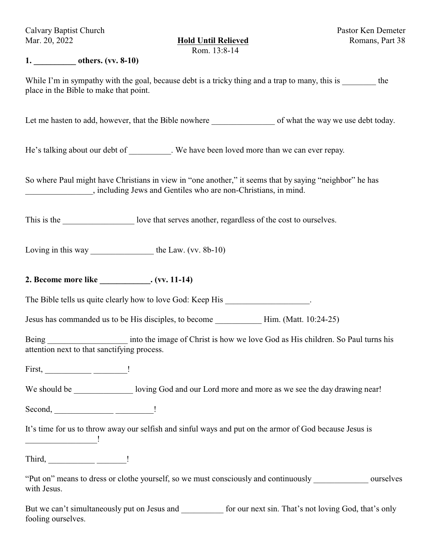Calvary Baptist Church Pastor Ken Demeter Mar. 20, 2022 **Hold Until Relieved** Romans, Part 38

Rom. 13:8-14

#### **1. \_\_\_\_\_\_\_\_\_\_ others. (vv. 8-10)**

While I'm in sympathy with the goal, because debt is a tricky thing and a trap to many, this is the place in the Bible to make that point.

Let me hasten to add, however, that the Bible nowhere of what the way we use debt today.

He's talking about our debt of \_\_\_\_\_\_\_\_\_. We have been loved more than we can ever repay.

So where Paul might have Christians in view in "one another," it seems that by saying "neighbor" he has \_\_\_\_\_\_\_\_\_\_\_\_\_\_\_\_, including Jews and Gentiles who are non-Christians, in mind.

This is the love that serves another, regardless of the cost to ourselves.

Loving in this way \_\_\_\_\_\_\_\_\_\_\_\_\_\_\_\_\_\_\_\_\_\_\_\_ the Law. (vv. 8b-10)

# **2. Become more like \_\_\_\_\_\_\_\_\_\_\_\_. (vv. 11-14)**

The Bible tells us quite clearly how to love God: Keep His .

Jesus has commanded us to be His disciples, to become Him. (Matt. 10:24-25)

Being The interest into the image of Christ is how we love God as His children. So Paul turns his attention next to that sanctifying process.

First, \_\_\_\_\_\_\_\_\_\_\_ \_\_\_\_\_\_\_\_!

We should be \_\_\_\_\_\_\_\_\_\_\_\_\_\_\_\_ loving God and our Lord more and more as we see the day drawing near!

Second, \_\_\_\_\_\_\_\_\_\_\_\_\_\_ \_\_\_\_\_\_\_\_\_!

It's time for us to throw away our selfish and sinful ways and put on the armor of God because Jesus is

Third, \_\_\_\_\_\_\_\_\_\_\_ \_\_\_\_\_\_\_!

 $\overline{\phantom{a}}$  . The contract of  $\overline{\phantom{a}}$ 

"Put on" means to dress or clothe yourself, so we must consciously and continuously \_\_\_\_\_\_\_\_\_\_\_\_\_ ourselves with Jesus.

But we can't simultaneously put on Jesus and  $\qquad$  for our next sin. That's not loving God, that's only fooling ourselves.